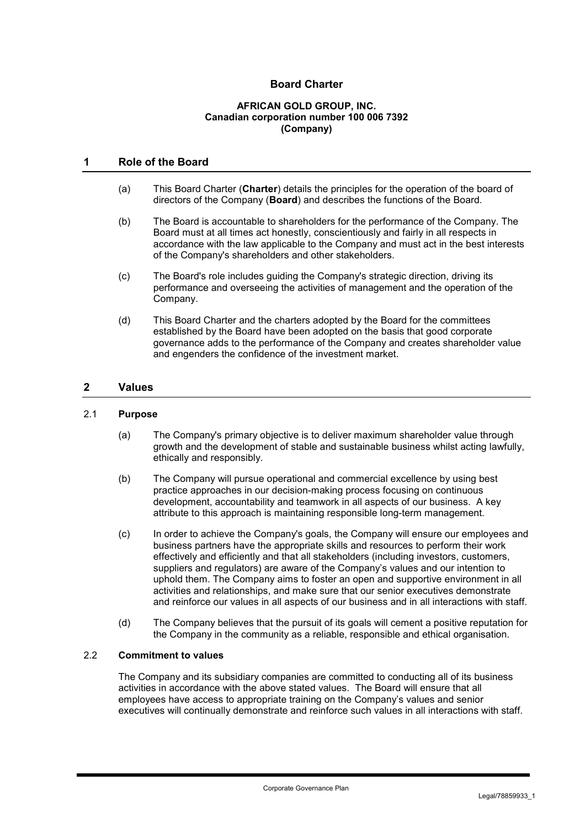# **Board Charter**

#### **AFRICAN GOLD GROUP, INC. Canadian corporation number 100 006 7392 (Company)**

# **1 Role of the Board**

- (a) This Board Charter (**Charter**) details the principles for the operation of the board of directors of the Company (**Board**) and describes the functions of the Board.
- (b) The Board is accountable to shareholders for the performance of the Company. The Board must at all times act honestly, conscientiously and fairly in all respects in accordance with the law applicable to the Company and must act in the best interests of the Company's shareholders and other stakeholders.
- (c) The Board's role includes guiding the Company's strategic direction, driving its performance and overseeing the activities of management and the operation of the Company.
- (d) This Board Charter and the charters adopted by the Board for the committees established by the Board have been adopted on the basis that good corporate governance adds to the performance of the Company and creates shareholder value and engenders the confidence of the investment market.

#### **2 Values**

#### 2.1 **Purpose**

- (a) The Company's primary objective is to deliver maximum shareholder value through growth and the development of stable and sustainable business whilst acting lawfully, ethically and responsibly.
- (b) The Company will pursue operational and commercial excellence by using best practice approaches in our decision-making process focusing on continuous development, accountability and teamwork in all aspects of our business. A key attribute to this approach is maintaining responsible long-term management.
- (c) In order to achieve the Company's goals, the Company will ensure our employees and business partners have the appropriate skills and resources to perform their work effectively and efficiently and that all stakeholders (including investors, customers, suppliers and regulators) are aware of the Company's values and our intention to uphold them. The Company aims to foster an open and supportive environment in all activities and relationships, and make sure that our senior executives demonstrate and reinforce our values in all aspects of our business and in all interactions with staff.
- (d) The Company believes that the pursuit of its goals will cement a positive reputation for the Company in the community as a reliable, responsible and ethical organisation.

# 2.2 **Commitment to values**

The Company and its subsidiary companies are committed to conducting all of its business activities in accordance with the above stated values. The Board will ensure that all employees have access to appropriate training on the Company's values and senior executives will continually demonstrate and reinforce such values in all interactions with staff.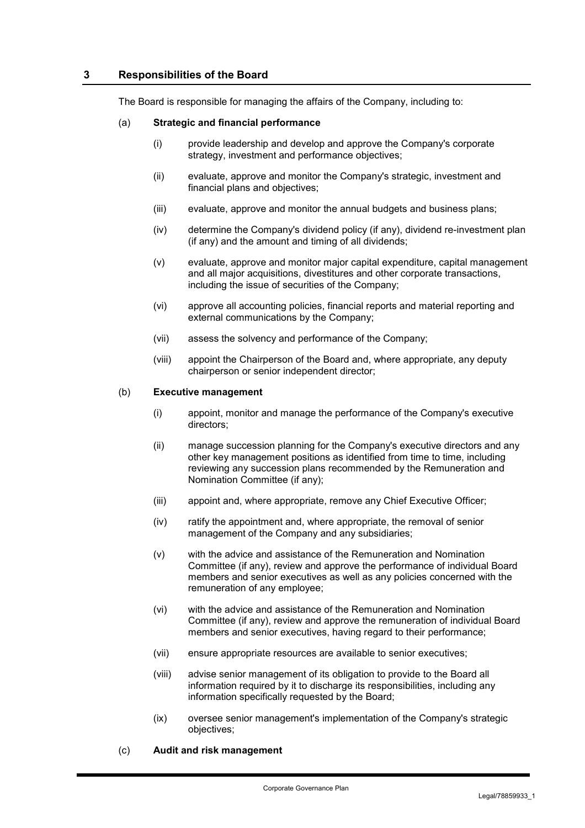## **3 Responsibilities of the Board**

The Board is responsible for managing the affairs of the Company, including to:

#### (a) **Strategic and financial performance**

- (i) provide leadership and develop and approve the Company's corporate strategy, investment and performance objectives;
- (ii) evaluate, approve and monitor the Company's strategic, investment and financial plans and objectives;
- (iii) evaluate, approve and monitor the annual budgets and business plans;
- (iv) determine the Company's dividend policy (if any), dividend re-investment plan (if any) and the amount and timing of all dividends;
- (v) evaluate, approve and monitor major capital expenditure, capital management and all major acquisitions, divestitures and other corporate transactions, including the issue of securities of the Company;
- (vi) approve all accounting policies, financial reports and material reporting and external communications by the Company;
- (vii) assess the solvency and performance of the Company;
- (viii) appoint the Chairperson of the Board and, where appropriate, any deputy chairperson or senior independent director;

#### (b) **Executive management**

- (i) appoint, monitor and manage the performance of the Company's executive directors;
- (ii) manage succession planning for the Company's executive directors and any other key management positions as identified from time to time, including reviewing any succession plans recommended by the Remuneration and Nomination Committee (if any);
- (iii) appoint and, where appropriate, remove any Chief Executive Officer;
- (iv) ratify the appointment and, where appropriate, the removal of senior management of the Company and any subsidiaries;
- (v) with the advice and assistance of the Remuneration and Nomination Committee (if any), review and approve the performance of individual Board members and senior executives as well as any policies concerned with the remuneration of any employee;
- (vi) with the advice and assistance of the Remuneration and Nomination Committee (if any), review and approve the remuneration of individual Board members and senior executives, having regard to their performance;
- (vii) ensure appropriate resources are available to senior executives;
- (viii) advise senior management of its obligation to provide to the Board all information required by it to discharge its responsibilities, including any information specifically requested by the Board;
- (ix) oversee senior management's implementation of the Company's strategic objectives;
- (c) **Audit and risk management**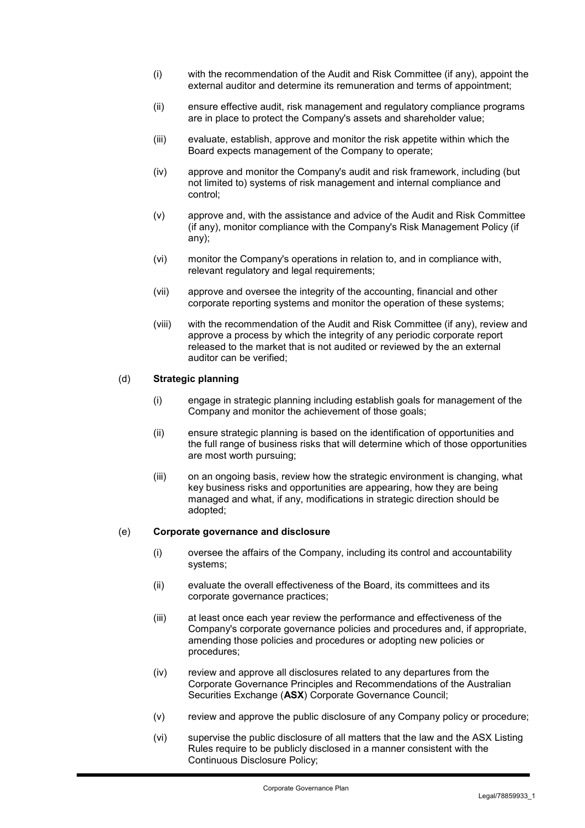- (i) with the recommendation of the Audit and Risk Committee (if any), appoint the external auditor and determine its remuneration and terms of appointment;
- (ii) ensure effective audit, risk management and regulatory compliance programs are in place to protect the Company's assets and shareholder value;
- (iii) evaluate, establish, approve and monitor the risk appetite within which the Board expects management of the Company to operate;
- (iv) approve and monitor the Company's audit and risk framework, including (but not limited to) systems of risk management and internal compliance and control;
- (v) approve and, with the assistance and advice of the Audit and Risk Committee (if any), monitor compliance with the Company's Risk Management Policy (if any);
- (vi) monitor the Company's operations in relation to, and in compliance with, relevant regulatory and legal requirements;
- (vii) approve and oversee the integrity of the accounting, financial and other corporate reporting systems and monitor the operation of these systems;
- (viii) with the recommendation of the Audit and Risk Committee (if any), review and approve a process by which the integrity of any periodic corporate report released to the market that is not audited or reviewed by the an external auditor can be verified;

#### (d) **Strategic planning**

- (i) engage in strategic planning including establish goals for management of the Company and monitor the achievement of those goals;
- (ii) ensure strategic planning is based on the identification of opportunities and the full range of business risks that will determine which of those opportunities are most worth pursuing;
- (iii) on an ongoing basis, review how the strategic environment is changing, what key business risks and opportunities are appearing, how they are being managed and what, if any, modifications in strategic direction should be adopted;

#### (e) **Corporate governance and disclosure**

- (i) oversee the affairs of the Company, including its control and accountability systems;
- (ii) evaluate the overall effectiveness of the Board, its committees and its corporate governance practices;
- (iii) at least once each year review the performance and effectiveness of the Company's corporate governance policies and procedures and, if appropriate, amending those policies and procedures or adopting new policies or procedures;
- (iv) review and approve all disclosures related to any departures from the Corporate Governance Principles and Recommendations of the Australian Securities Exchange (**ASX**) Corporate Governance Council;
- (v) review and approve the public disclosure of any Company policy or procedure;
- (vi) supervise the public disclosure of all matters that the law and the ASX Listing Rules require to be publicly disclosed in a manner consistent with the Continuous Disclosure Policy;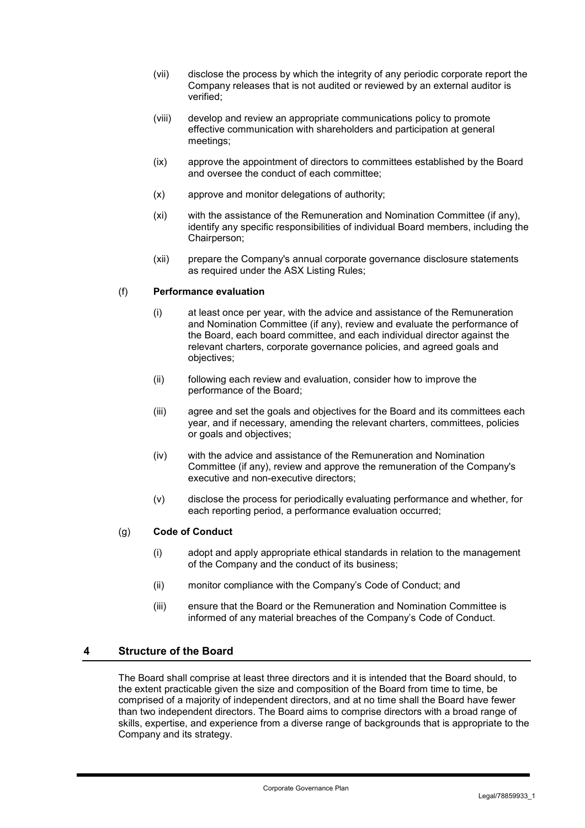- (vii) disclose the process by which the integrity of any periodic corporate report the Company releases that is not audited or reviewed by an external auditor is verified;
- (viii) develop and review an appropriate communications policy to promote effective communication with shareholders and participation at general meetings;
- (ix) approve the appointment of directors to committees established by the Board and oversee the conduct of each committee;
- (x) approve and monitor delegations of authority;
- (xi) with the assistance of the Remuneration and Nomination Committee (if any), identify any specific responsibilities of individual Board members, including the Chairperson;
- (xii) prepare the Company's annual corporate governance disclosure statements as required under the ASX Listing Rules;

## (f) **Performance evaluation**

- (i) at least once per year, with the advice and assistance of the Remuneration and Nomination Committee (if any), review and evaluate the performance of the Board, each board committee, and each individual director against the relevant charters, corporate governance policies, and agreed goals and objectives;
- (ii) following each review and evaluation, consider how to improve the performance of the Board;
- (iii) agree and set the goals and objectives for the Board and its committees each year, and if necessary, amending the relevant charters, committees, policies or goals and objectives;
- (iv) with the advice and assistance of the Remuneration and Nomination Committee (if any), review and approve the remuneration of the Company's executive and non-executive directors;
- (v) disclose the process for periodically evaluating performance and whether, for each reporting period, a performance evaluation occurred;

#### (g) **Code of Conduct**

- (i) adopt and apply appropriate ethical standards in relation to the management of the Company and the conduct of its business;
- (ii) monitor compliance with the Company's Code of Conduct; and
- (iii) ensure that the Board or the Remuneration and Nomination Committee is informed of any material breaches of the Company's Code of Conduct.

# **4 Structure of the Board**

The Board shall comprise at least three directors and it is intended that the Board should, to the extent practicable given the size and composition of the Board from time to time, be comprised of a majority of independent directors, and at no time shall the Board have fewer than two independent directors. The Board aims to comprise directors with a broad range of skills, expertise, and experience from a diverse range of backgrounds that is appropriate to the Company and its strategy.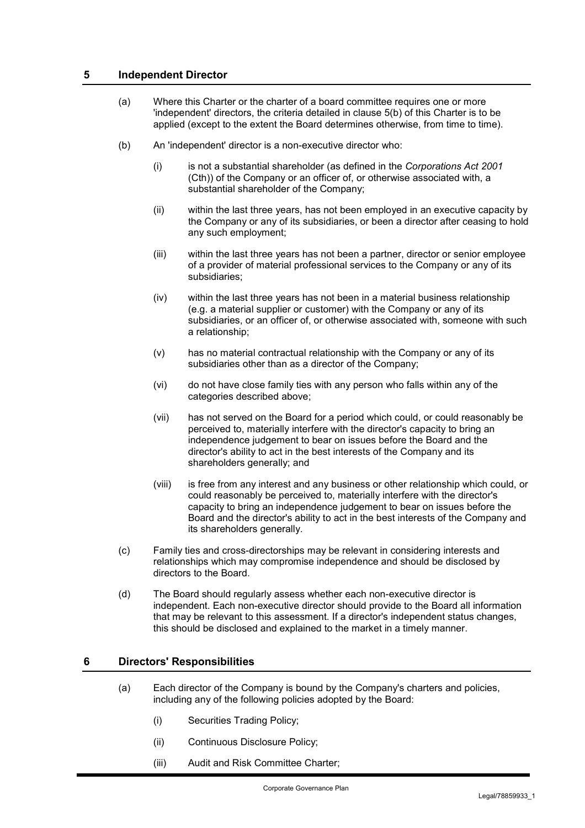# **5 Independent Director**

- (a) Where this Charter or the charter of a board committee requires one or more 'independent' directors, the criteria detailed in clause 5(b) of this Charter is to be applied (except to the extent the Board determines otherwise, from time to time).
- (b) An 'independent' director is a non-executive director who:
	- (i) is not a substantial shareholder (as defined in the *Corporations Act 2001* (Cth)) of the Company or an officer of, or otherwise associated with, a substantial shareholder of the Company;
	- (ii) within the last three years, has not been employed in an executive capacity by the Company or any of its subsidiaries, or been a director after ceasing to hold any such employment;
	- (iii) within the last three years has not been a partner, director or senior employee of a provider of material professional services to the Company or any of its subsidiaries;
	- (iv) within the last three years has not been in a material business relationship (e.g. a material supplier or customer) with the Company or any of its subsidiaries, or an officer of, or otherwise associated with, someone with such a relationship;
	- (v) has no material contractual relationship with the Company or any of its subsidiaries other than as a director of the Company;
	- (vi) do not have close family ties with any person who falls within any of the categories described above;
	- (vii) has not served on the Board for a period which could, or could reasonably be perceived to, materially interfere with the director's capacity to bring an independence judgement to bear on issues before the Board and the director's ability to act in the best interests of the Company and its shareholders generally; and
	- (viii) is free from any interest and any business or other relationship which could, or could reasonably be perceived to, materially interfere with the director's capacity to bring an independence judgement to bear on issues before the Board and the director's ability to act in the best interests of the Company and its shareholders generally.
- (c) Family ties and cross-directorships may be relevant in considering interests and relationships which may compromise independence and should be disclosed by directors to the Board.
- (d) The Board should regularly assess whether each non-executive director is independent. Each non-executive director should provide to the Board all information that may be relevant to this assessment. If a director's independent status changes, this should be disclosed and explained to the market in a timely manner.

# **6 Directors' Responsibilities**

- (a) Each director of the Company is bound by the Company's charters and policies, including any of the following policies adopted by the Board:
	- (i) Securities Trading Policy;
	- (ii) Continuous Disclosure Policy;
	- (iii) Audit and Risk Committee Charter;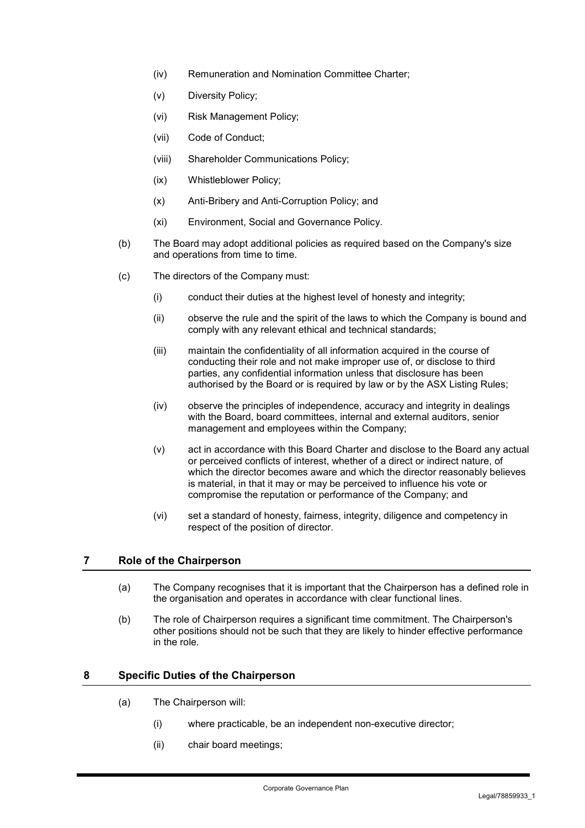- (iv) Remuneration and Nomination Committee Charter;
- (v) Diversity Policy;
- (vi) Risk Management Policy;
- (vii) Code of Conduct;
- (viii) Shareholder Communications Policy;
- (ix) Whistleblower Policy;
- (x) Anti-Bribery and Anti-Corruption Policy; and
- (xi) Environment, Social and Governance Policy.
- (b) The Board may adopt additional policies as required based on the Company's size and operations from time to time.
- (c) The directors of the Company must:
	- (i) conduct their duties at the highest level of honesty and integrity;
	- (ii) observe the rule and the spirit of the laws to which the Company is bound and comply with any relevant ethical and technical standards;
	- (iii) maintain the confidentiality of all information acquired in the course of conducting their role and not make improper use of, or disclose to third parties, any confidential information unless that disclosure has been authorised by the Board or is required by law or by the ASX Listing Rules;
	- (iv) observe the principles of independence, accuracy and integrity in dealings with the Board, board committees, internal and external auditors, senior management and employees within the Company;
	- (v) act in accordance with this Board Charter and disclose to the Board any actual or perceived conflicts of interest, whether of a direct or indirect nature, of which the director becomes aware and which the director reasonably believes is material, in that it may or may be perceived to influence his vote or compromise the reputation or performance of the Company; and
	- (vi) set a standard of honesty, fairness, integrity, diligence and competency in respect of the position of director.

## **7 Role of the Chairperson**

- (a) The Company recognises that it is important that the Chairperson has a defined role in the organisation and operates in accordance with clear functional lines.
- (b) The role of Chairperson requires a significant time commitment. The Chairperson's other positions should not be such that they are likely to hinder effective performance in the role.

## **8 Specific Duties of the Chairperson**

- (a) The Chairperson will:
	- (i) where practicable, be an independent non-executive director;
	- (ii) chair board meetings;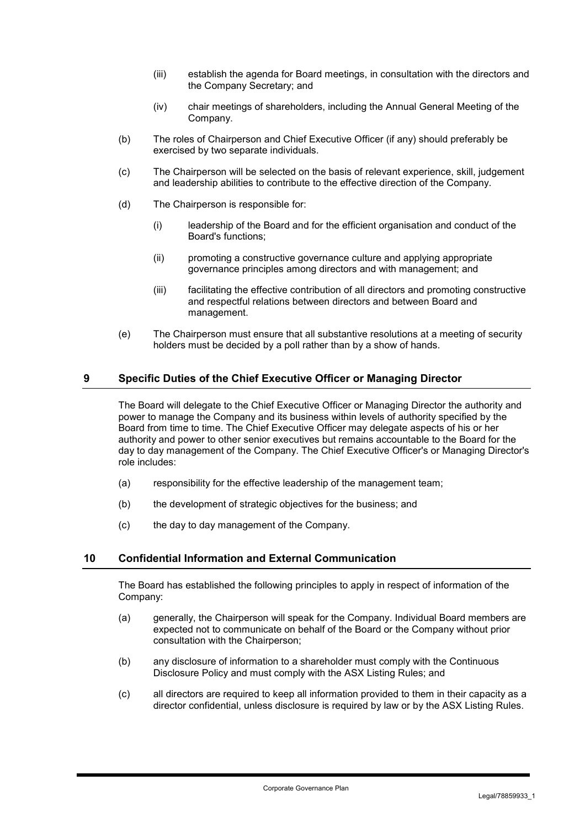- (iii) establish the agenda for Board meetings, in consultation with the directors and the Company Secretary; and
- (iv) chair meetings of shareholders, including the Annual General Meeting of the Company.
- (b) The roles of Chairperson and Chief Executive Officer (if any) should preferably be exercised by two separate individuals.
- (c) The Chairperson will be selected on the basis of relevant experience, skill, judgement and leadership abilities to contribute to the effective direction of the Company.
- (d) The Chairperson is responsible for:
	- (i) leadership of the Board and for the efficient organisation and conduct of the Board's functions;
	- (ii) promoting a constructive governance culture and applying appropriate governance principles among directors and with management; and
	- (iii) facilitating the effective contribution of all directors and promoting constructive and respectful relations between directors and between Board and management.
- (e) The Chairperson must ensure that all substantive resolutions at a meeting of security holders must be decided by a poll rather than by a show of hands.

# **9 Specific Duties of the Chief Executive Officer or Managing Director**

The Board will delegate to the Chief Executive Officer or Managing Director the authority and power to manage the Company and its business within levels of authority specified by the Board from time to time. The Chief Executive Officer may delegate aspects of his or her authority and power to other senior executives but remains accountable to the Board for the day to day management of the Company. The Chief Executive Officer's or Managing Director's role includes:

- (a) responsibility for the effective leadership of the management team;
- (b) the development of strategic objectives for the business; and
- (c) the day to day management of the Company.

## **10 Confidential Information and External Communication**

The Board has established the following principles to apply in respect of information of the Company:

- (a) generally, the Chairperson will speak for the Company. Individual Board members are expected not to communicate on behalf of the Board or the Company without prior consultation with the Chairperson;
- (b) any disclosure of information to a shareholder must comply with the Continuous Disclosure Policy and must comply with the ASX Listing Rules; and
- (c) all directors are required to keep all information provided to them in their capacity as a director confidential, unless disclosure is required by law or by the ASX Listing Rules.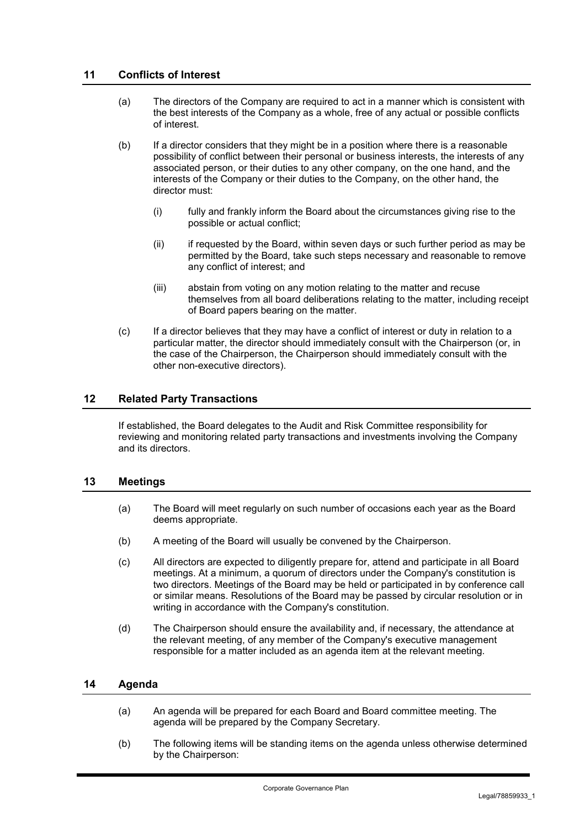# **11 Conflicts of Interest**

- (a) The directors of the Company are required to act in a manner which is consistent with the best interests of the Company as a whole, free of any actual or possible conflicts of interest.
- (b) If a director considers that they might be in a position where there is a reasonable possibility of conflict between their personal or business interests, the interests of any associated person, or their duties to any other company, on the one hand, and the interests of the Company or their duties to the Company, on the other hand, the director must:
	- (i) fully and frankly inform the Board about the circumstances giving rise to the possible or actual conflict;
	- (ii) if requested by the Board, within seven days or such further period as may be permitted by the Board, take such steps necessary and reasonable to remove any conflict of interest; and
	- (iii) abstain from voting on any motion relating to the matter and recuse themselves from all board deliberations relating to the matter, including receipt of Board papers bearing on the matter.
- (c) If a director believes that they may have a conflict of interest or duty in relation to a particular matter, the director should immediately consult with the Chairperson (or, in the case of the Chairperson, the Chairperson should immediately consult with the other non-executive directors).

# **12 Related Party Transactions**

If established, the Board delegates to the Audit and Risk Committee responsibility for reviewing and monitoring related party transactions and investments involving the Company and its directors.

## **13 Meetings**

- (a) The Board will meet regularly on such number of occasions each year as the Board deems appropriate.
- (b) A meeting of the Board will usually be convened by the Chairperson.
- (c) All directors are expected to diligently prepare for, attend and participate in all Board meetings. At a minimum, a quorum of directors under the Company's constitution is two directors. Meetings of the Board may be held or participated in by conference call or similar means. Resolutions of the Board may be passed by circular resolution or in writing in accordance with the Company's constitution.
- (d) The Chairperson should ensure the availability and, if necessary, the attendance at the relevant meeting, of any member of the Company's executive management responsible for a matter included as an agenda item at the relevant meeting.

## **14 Agenda**

- (a) An agenda will be prepared for each Board and Board committee meeting. The agenda will be prepared by the Company Secretary.
- (b) The following items will be standing items on the agenda unless otherwise determined by the Chairperson: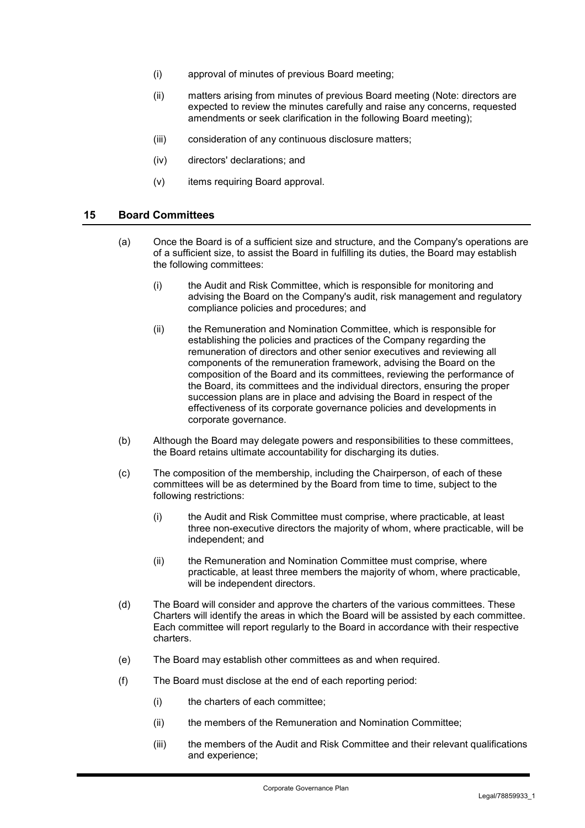- (i) approval of minutes of previous Board meeting;
- (ii) matters arising from minutes of previous Board meeting (Note: directors are expected to review the minutes carefully and raise any concerns, requested amendments or seek clarification in the following Board meeting);
- (iii) consideration of any continuous disclosure matters;
- (iv) directors' declarations; and
- (v) items requiring Board approval.

#### **15 Board Committees**

- (a) Once the Board is of a sufficient size and structure, and the Company's operations are of a sufficient size, to assist the Board in fulfilling its duties, the Board may establish the following committees:
	- (i) the Audit and Risk Committee, which is responsible for monitoring and advising the Board on the Company's audit, risk management and regulatory compliance policies and procedures; and
	- (ii) the Remuneration and Nomination Committee, which is responsible for establishing the policies and practices of the Company regarding the remuneration of directors and other senior executives and reviewing all components of the remuneration framework, advising the Board on the composition of the Board and its committees, reviewing the performance of the Board, its committees and the individual directors, ensuring the proper succession plans are in place and advising the Board in respect of the effectiveness of its corporate governance policies and developments in corporate governance.
- (b) Although the Board may delegate powers and responsibilities to these committees, the Board retains ultimate accountability for discharging its duties.
- (c) The composition of the membership, including the Chairperson, of each of these committees will be as determined by the Board from time to time, subject to the following restrictions:
	- (i) the Audit and Risk Committee must comprise, where practicable, at least three non-executive directors the majority of whom, where practicable, will be independent; and
	- (ii) the Remuneration and Nomination Committee must comprise, where practicable, at least three members the majority of whom, where practicable, will be independent directors.
- (d) The Board will consider and approve the charters of the various committees. These Charters will identify the areas in which the Board will be assisted by each committee. Each committee will report regularly to the Board in accordance with their respective charters.
- (e) The Board may establish other committees as and when required.
- (f) The Board must disclose at the end of each reporting period:
	- (i) the charters of each committee;
	- (ii) the members of the Remuneration and Nomination Committee;
	- (iii) the members of the Audit and Risk Committee and their relevant qualifications and experience;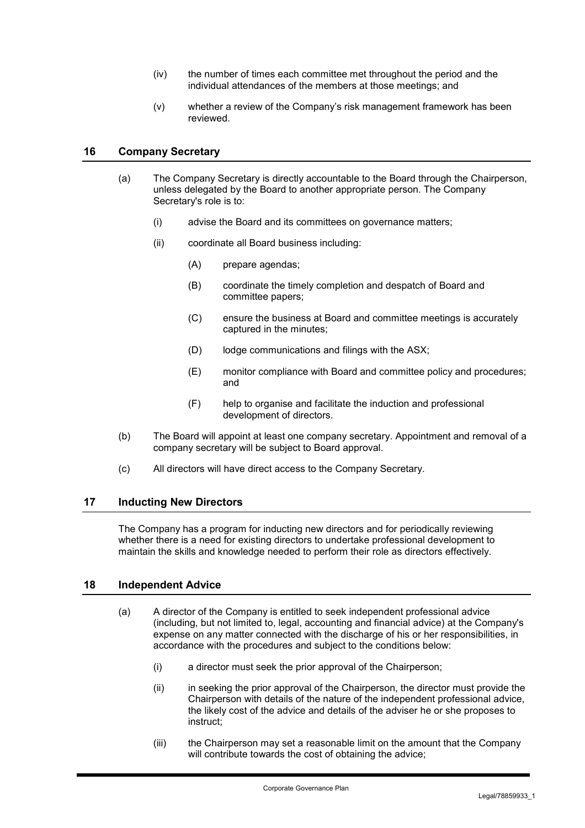- (iv) the number of times each committee met throughout the period and the individual attendances of the members at those meetings; and
- (v) whether a review of the Company's risk management framework has been reviewed.

#### **16 Company Secretary**

- (a) The Company Secretary is directly accountable to the Board through the Chairperson, unless delegated by the Board to another appropriate person. The Company Secretary's role is to:
	- (i) advise the Board and its committees on governance matters;
	- (ii) coordinate all Board business including:
		- (A) prepare agendas;
		- (B) coordinate the timely completion and despatch of Board and committee papers;
		- (C) ensure the business at Board and committee meetings is accurately captured in the minutes;
		- (D) lodge communications and filings with the ASX;
		- (E) monitor compliance with Board and committee policy and procedures; and
		- (F) help to organise and facilitate the induction and professional development of directors.
- (b) The Board will appoint at least one company secretary. Appointment and removal of a company secretary will be subject to Board approval.
- (c) All directors will have direct access to the Company Secretary.

#### **17 Inducting New Directors**

The Company has a program for inducting new directors and for periodically reviewing whether there is a need for existing directors to undertake professional development to maintain the skills and knowledge needed to perform their role as directors effectively.

## **18 Independent Advice**

- (a) A director of the Company is entitled to seek independent professional advice (including, but not limited to, legal, accounting and financial advice) at the Company's expense on any matter connected with the discharge of his or her responsibilities, in accordance with the procedures and subject to the conditions below:
	- (i) a director must seek the prior approval of the Chairperson;
	- (ii) in seeking the prior approval of the Chairperson, the director must provide the Chairperson with details of the nature of the independent professional advice, the likely cost of the advice and details of the adviser he or she proposes to instruct;
	- (iii) the Chairperson may set a reasonable limit on the amount that the Company will contribute towards the cost of obtaining the advice;